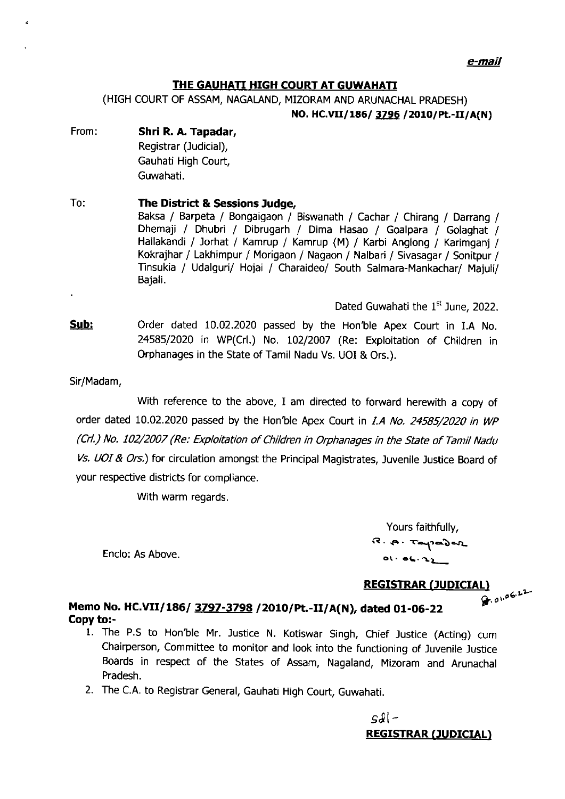e-mail

## THE GAUHATI HIGH COURT AT GUWAHATI

(HIGH COURT OF ASSAM, NAGALAND, MIZORAM AND ARUNACHAL PRADESH)

NO. HC.VII/186/ 3796 / 2010/Pt.-II/A(N)

- From: Shri R. A. Tapadar, Registrar (Judicial), Gauhati High Court, Guwahati.
- To: The District & Sessions Judge, Baksa / Barpeta / Bongaigaon / Biswanath / Cachar / Chirang / Darrang / Dhemaji / Dhubri / Dibrugarh / Dima Hasao / Goalpara / Golaghat / Hallakandi / Jorhat / Kamrup / Kamrup (M) / Karbi Anglong / Karimganj / Kokrajhar / Lakhimpur / Morigaon / Nagaon / Nalbari / Sivasagar / Sonitpur / Tinsukia / Udalguri/ Hojai / Charaideo/ South Salmara-Mankachar/ Majuli/ Bajali.

Dated Guwahati the 1<sup>st</sup> June, 2022.

- Sub: Order dated 10.02.2020 passed by the Hon'ble Apex Court in I.A No. 24585/2020 in WP(Crl.) No. 102/2007 (Re: Exploitation of Children in Orphanages in the State of Tamil Nadu Vs. UOI & Ors.).
- Sir/Madam,

With reference to the above, I am directed to forward herewith a copy of order dated 10.02.2020 passed by the Hon'ble Apex Court in I.A No. 24585/2020 in WP (Crl.) No. 102/2007 (Re: Exploitation of Children in Orphanages in the State of Tamil Nadu Vs. UOI & Ors.) for circulation amongst the Principal Magistrates, Juvenile Justice Board of your respective districts for compliance.

With warm regards.

Yours faithfully,  $3.8 \cdot R \cdot T$ apaden  $01.06.22$ 

## Enclo: As Above.

REGISTRAR (JUDICIAL)<br>detailed in the contract of the contract of the contract of the contract of the contract of the contract of the

## Memo No. HC.VII/186/ 3797-3798 / 2010/Pt.-II/A(N), dated 01-06-22 Copy to:-

- 1. The P.S to Hon'ble Mr. Justice N. Kotiswar Singh, Chief Justice (Acting) cum Chairperson, Committee to monitor and look into the functioning of Juvenile Justice Boards in respect of the States of Assam, Nagaland, Mizoram and Arunachal Pradesh.
- 2. The C.A. to Registrar General, Gauhati High Court, Guwahati.

sJl-REGISTRAR (JUDICIAL)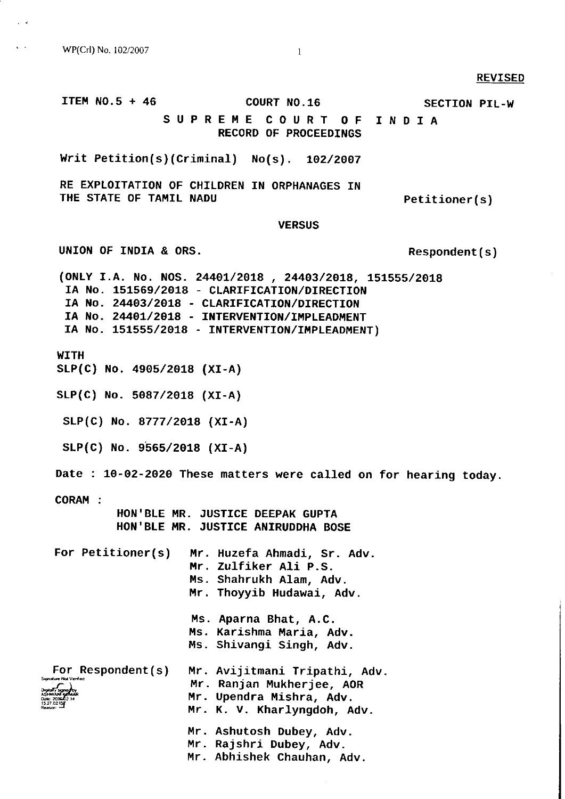wP(Crl) No. 102/2007

#### REVISED

ITEM  $NO.5 + 46$  COURT  $NO.16$ SUPREME COURT OF RECORD OF PROCEEDINGS Writ Petition(s)(Criminal)  $No(s)$ . 102/2007 RE EXPLOTTATTON OF CHILDREN TN ORPHANAGES TN THE STATE OF TAMIL NADU **VERSUS** UNION OF INDIA & ORS. (ONLY I.A. No. NOS. 24401/2018 , 24403/2018, 151555/2018 IA No. 151569/2018 - CLARIFICATION/DIRECTION IA No. 24403/2018 - CLARIFICATION<mark>/DIRECTIO</mark>N IA No. 24401/2018 - INTERVENTION/IMPLEADMENT IA NO. 151555/2018 - INTERVENTION/IMPLEADMENT) SECTION PIL-W INDIA Petitioner ( s ) Respondent ( s ) Date : 10-02-2020 These matters were called on for hearing today.  $\overbrace{\text{``1,1,1,1,1}}^{\text{1,1,1,1}}$ For Petitioner(s) Mr. Huzefa Ahmadi, Sr. Ad<mark>v</mark>. Hr. Zulfiker Ali P.S. Ms. Shahrukh Alam, Adv. Mr. Thoyyib Hudawai, Adv. Ms. Aparna Bhat, A.C. Hs. Karishma Maria, Adv Ms. Shivangi Singh, Adv Mr. Avijitmani Tripathi, Adv. Mr. Ranjan Mukherjee, AoR Mr. Upendra Mishra, Adv. Mr. K. V. Kharlyngdoh, Adv. **WITH** sLP(c) No. 49os/2o18 (xI-A) sLP(c) No. 5087/2018 (xI-A) SLP(G) No. a777/2018 (xI-A)  $SLP(C)$  No. 9565/2018 (XI-A) CORAH : HON'BLE MR. JUSTICE DEEPAK GUPTA HON'BLE MR. JUSTICE ANIRUDDHA BOSE For Respondent (s) Mr. Ashutosh Dubey, Adv.

- mr. Rajshri Dubey, Adv.
- Abhishek Chauhan, Adv. Mr.

I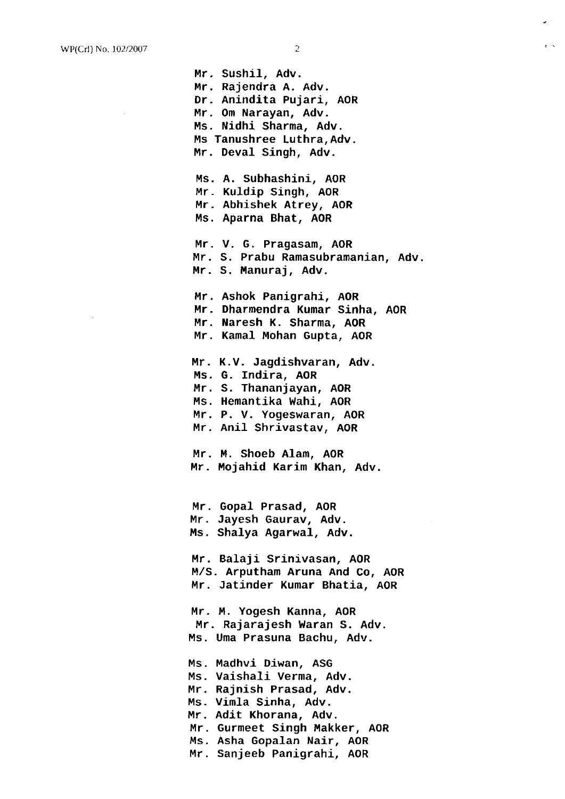Mr. Sushil, Adv. Mr. Rajendra A. Adv. Dr. Anindita Pujari, AoR Mr. Om Narayan, Adv. Ms. Nidhi Sharma, Adv. Ms Tanushree Luthra, Adv. Mr. Deval Singh, Adv. Ms. A. Subhashini, AOR Mr. Kuldip Singh, AOR Mr. Abhishek Atrey, AOR Ms. Aparn<mark>a Bhat, AO</mark>R Mr. V. G. Pragasam, AO<mark>R</mark> Mr. <sup>S</sup> Prabu Ramasubramanian, Adv. Mr. <sup>S</sup> Manuraj, Adv. Mr. Ashok Panigrahj., AOR Mr. Dharmendra Kumar Sinha, AOR Mr. l{aresh K. Sharma, AOR Mr. Kamal Mohan Gupta, AOR Mr. K.V. Jagdishvaran, Adv. Ms. G. Indira, AOR Mr. S. Thananjayan, AOR Ms. Hemantika Wahi, AOR Mr. P. V. Yogeswaran, AOR Anil Shrivastav, AOR Mr. Mr. M. Shoeb Alam, AO<mark>R</mark> Mr. Mojahid Karim Khan, Adv. Mr. Gopal Prasad, AO<mark>R</mark> Mr. Jayesh Gaurav, Adv. Ms. Shalya Agarwal, Adv. Mr. Balaji Srinivasan, AOR M,/S. Arputham Aruna And Co, AOR Mr. Jatinder Kumar Bhatia, AOR

Mr. M. Yogesh Kanna, AOR Mr. Rajarajesh Waran S. Adv. Ms. Uma Prasuna Bachu, Adv.

Ms. Madhvi Diwan, ASG Ms. Vaishali verma, Adv. Mr. Rajnish Prasad, Adv. Ms. Vimla Sinha, Adv. Mr. Adit Khorana, Adv. mr. Gurmeet Singh Makker, AOR Ms. Asha Gopalan Nair, AOR Mr. Sanjeeb Panigrahi, AoR

 $\ddot{\cdot}$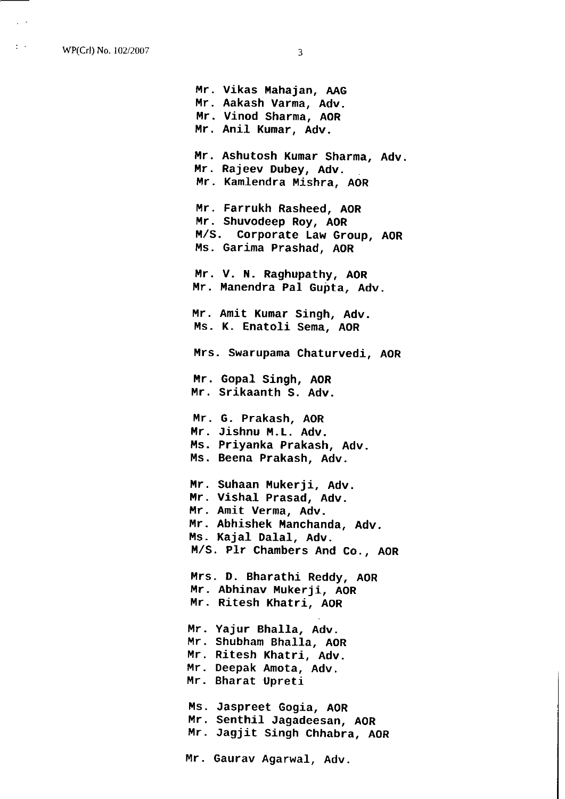WP(Crl) No. 102/2007 3

 $\pm$   $\sim$ 

Mr. Vikas Mahajan, AAG Mr. Aakash Varma, Adv. Mr. Vinod Sharma, AOR<br>Mr. Anil Kumar, Adv. Mr. Anil Kumar, Adv. Mr. Ashutosh Kumar Sharma, Adv. Hr. Rajeev Dubey, Adv. Mr. Kamlendra Mishra, AOR Mr. Amit Kumar Singh, Adv. Ms. K. Enatoli Sema, AOR Mr. Farrukh Rasheed, AOR Mr. Shuvodeep Roy, AOR M/S. Corporate Law Group, AOR Ms. Garima Prashad, AOR Mr. V. N. Raghupathy, AOR Mr. Manendra Pal Gupta, Adv. Mrs. Swarupama Chaturvedi, AOR Mr. Gopal Singh, AO<mark>R</mark> Mr. Srikaanth S. Adv. Mr. G. Prakash, AOR Mr. Jishnu M.L. Adv. Ms. Priyanka Prakash, Adv. Ms. Beena Prakash, Adv. Mr. Suhaan Mukerji, Adv. Mr. Vishal Prasad, Adv. Mr. Amit Verma, Adv. Mr. Abhishek Manchanda, Adv. Ms. Kajal Dalal, Adv. M,/S. Plr Chambers And Co., AOR Mrs. D. Bharathi Reddy, AOR Mr. Abhinav Mukerji, AOR Mr. Ritesh Khatri, AoR Mr. Yajur Bhalla, Adv. Mr. Shubham Bhalla, AOR Mr. Ritesh Khatri, Adv. Mr. Deepak Amota, Adv. Mr. Bharat Upret i

Ms. Jaspreet Gogia, AOR Mr. Senthil Jagadeesan, AOR<br>Mr. Jagjit Singh Chhabra, AOR M r

Mr. caurav Agarwal, Adv.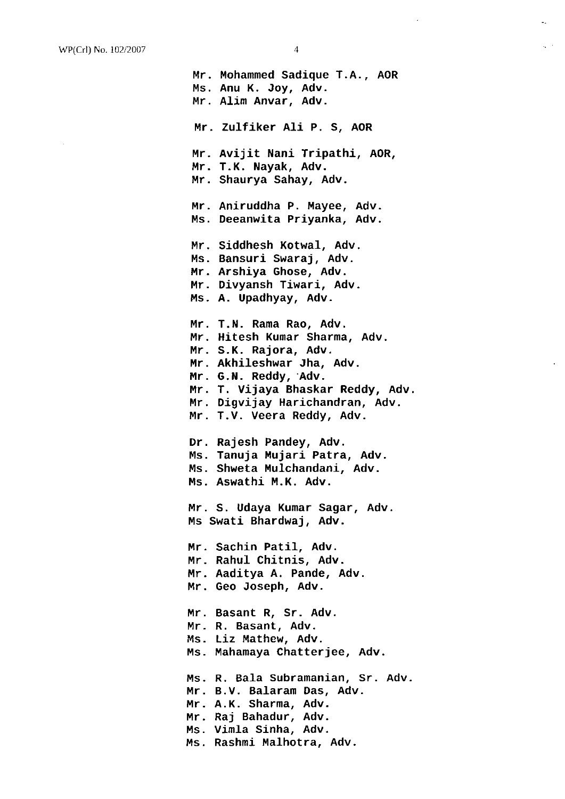Mr. Mohammed Sadique T.A., AoR MS. Anu K. Joy, Adv. Mr. Alim Anvar, Adv. Mr. Avijit Nani Tripathi, AoR, Mr. T.K. Nayak, Adv. Mr. Shaurya Sahay, Adv. Mr. Aniruddha P. Mayee, Ad<mark>v</mark> Ms. Deeanwita Priyanka, Adv Mr. Zulfiker Ali P. S, AOR Mr. Siddhesh Kotwal, Adv. Ms. Bansuri Swaraj, Adv. Mr. Arshiya Ghose, Adv. Mr. Divyansh Tiwari, Adv. ms. A. Upadhyay, Adv. Mr. T.N. Rama Rao, Ad<mark>v</mark>. Mr. Hitesh Kumar Sharma, Ad<mark>v</mark>. Mr. S.K. Rajora, Ad<mark>v</mark>. Mr. Akhileshwar Jha, Adv. Mr. G.N. Reddy, Adv. Mr. T. Vijaya Bhaskar Reddy, Adv. Mr. Digvijay Harichandran, Adv. Mr. T.V. Veera Reddy, Adv. Dr. Rajesh Pandey, Adv. Ms. Tanuja Mujari Patra, Adv. Ms. S<mark>hwet</mark>a Mulchandani, Adv. Ms. Aswathi M.K. Adv. Mr. Sachin Patil, Adv. Mr. Rahul Chitnis, Adv. Mr. Aaditya A. Pande, Adv. Mr. ceo Joseph, Adv. Mr. Basant R, Sr. Adv. Mr. R. Basant, Adv. Ms. Mahamaya Chatterjee, Adv. Ms. Liz Mathew, Adv. Mr. S. Udaya Kumar Sagar, Adv. Ms Swati Bhardwaj, Adv. Ms. R. Bala Subramanian, Sr. Adv. ns. M.V. Balaram Das, Adv. Mr. A.K. Sharma, Adv. Mr. Raj Bahadur, Ad<mark>v</mark>. Ms. Vimla Sinha, Adv. no: Immin Jimma, Nii.<br>Ms. Rashmi Malhotra, Adv.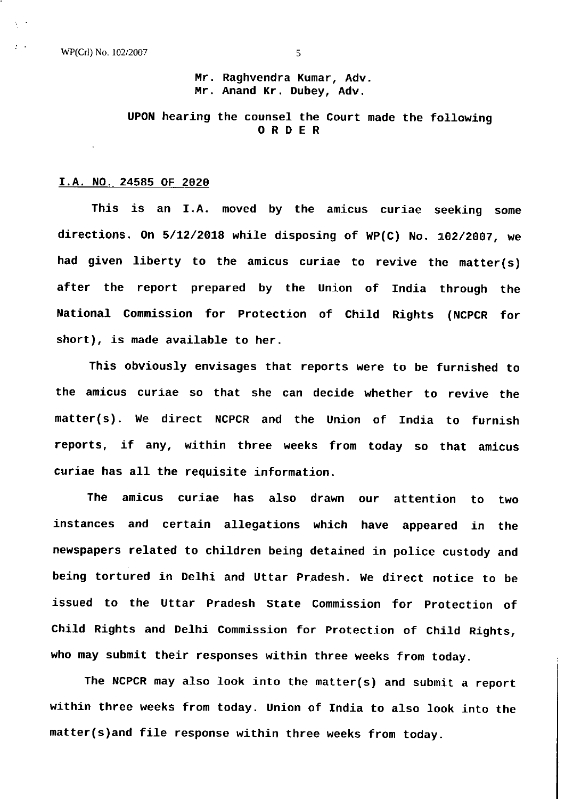Mr. Raghvendra Kumar, Adv. nn. Anand Kr. Dubey, Adv.

# UPON hearing the counsel the Court made the following ORDER

#### I.A. NO. 24585 OF 2020

This is an I.A. moved by the amicus curiae seeking some directions. On 5/12/2018 while disposing of WP(C) No. 102/2007, we had given liberty to the amicus curiae to revive the matter(s) after the report prepared by the Union of India through the National Commission for Protection of Child Rights (NCPCR for short), is made available to her.

This obviously envisages that reports were to be furnished to the amicus curiae so that she can decide whether to revive the matter(s). We direct NCPCR and the Union of India to furnish reports, if any, within three weeks from today so that amicus curiae has all the requisite information.

The amicus curiae has also drawn our attention to two instances and certain allegations which have appeared in the newspapers related to children being detained in police custody and being tortured in Delhi and Uttar Pradesh. We direct notice to be issued to the Uttar Pradesh State Commission for protection of Child Rights and Delhi Commission for protection of child Rights, who may submit their responses within three weeks from today.

The NCPCR may also look into the matter(s) and submit a report within three weeks from today. Union of India to also look into the matter(s)and fiLe response within three weeks from today.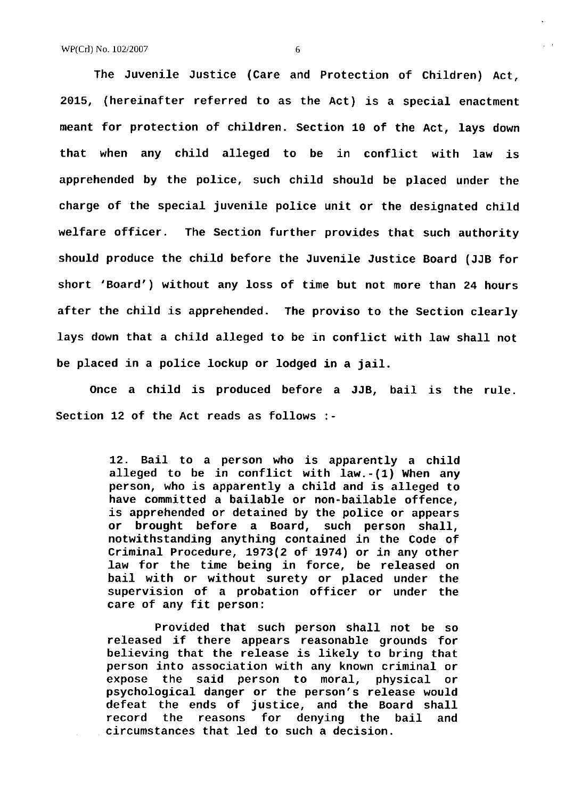2015, (hereinafter referred to as the Act) is a spec<mark>ial enactment</mark> meant for protection of children. Section 10 of the Act, Iays down that when any child alleged to be in conflict with law is apprehended by the police, such child should be placed under the charge of the special juvenile police unit or the designated child welfare officer. The Section further provides that such authority should produce the child before the Juvenile Justice Board (JJB for short 'Board') without any loss of time but not more than 24 hours The Juvenile Justice (Care and Protection of Children) Act, after the child is apprehended. The proviso to the Section clearly lays down that a child alleged to be in conflict with law shall not be placed in a police Iockup or Iodged in <sup>a</sup> jail.

once a child is produced before <sup>a</sup> JJB, bail is the rule. Section 12 of the Act reads as follows :-

> 12. Bail to a person who is apparently a child alleged to be in conflict with law.-(1) When any person, who is apparently a child and is alleged to is apprehended or detained by the police or appears or brought before a Board, such person shall, notwithstanding anything contained in the Code of Criminal Procedure,  $1973(2$  of  $1974)$  or in any other Iaw for the time being in force, be released on bail with or without surety or placed under the supervision of a probation officer or under the care of any fit person:

> Provided that such person shaLl not be so released if there appears reasonable grounds for believing that the release is likely to bring that person into association with any known criminal or expose the said person to moral, physical or psychological danger or the person's release would defeat the ends of justice, and the Board shall record the reasons for denying the bail and circumstances that led to such a decision.

6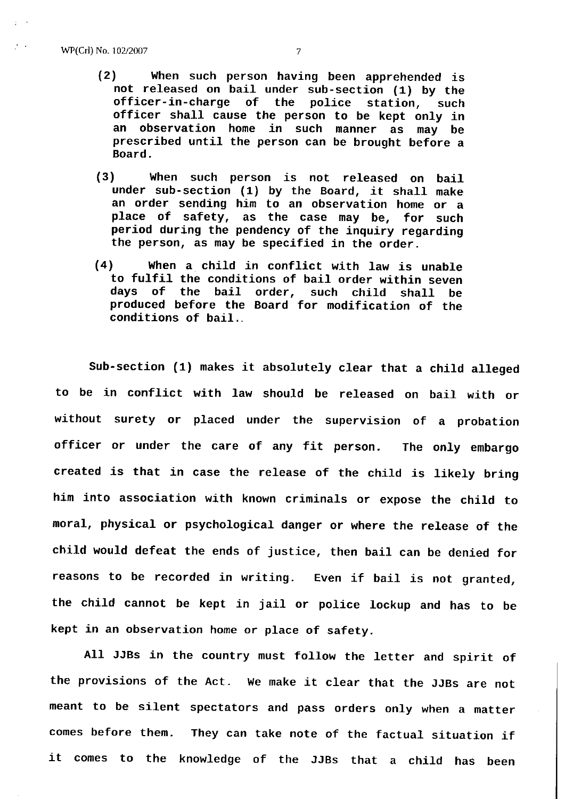- (2) When such person having been apprehended is not released on bail under sub-section (1) by the officer-in-charge of the police station, such officer shall cause the person to be kept only in an observation home in such manner as may be prescribed until the person can be brought before <sup>a</sup> Board.
- (3) When such person is not released on bail under sub-section  $(1)$  by the Board, it shall make an order sending him to an observation home or <sup>a</sup> place of safety, as the case may be, for such period during the pendency of the inquiry regarding the person, as may be specified in the order.
- (41 When a child in conflict with law is unable to fulfil the conditions of bail order within seven days of the bail order, such child shall be produced before the Board for modification of the conditions of bail ..

Sub-section (1) makes it absolutely clear that <sup>a</sup> child alleged to be in conflict with law should be released on bail with or without surety or placed under the supervision of a probatior officer or under the care of any fit person. The only embargo moral, physical or psychological danger or where the release of the child would defeat the ends of justice, then bail can be denied for created is that in case the release of the child is likely bring him into association with known criminals or expose the child to the child cannot be kept in jail or police lockup and has to be reasons to be recorded in writing, Even if bail is not granted, kept in an observation home or place of safety.

All JJBS in the country must follow the letter and spirit of the provisions of the Act. We make it clear that the JJBS are not meant to be silent spectators and pass orders only when a matter comes before them. They can take note of the factual situation  ${\bf i}^\dagger$ it comes to the knowledge of the JJBS that a child has been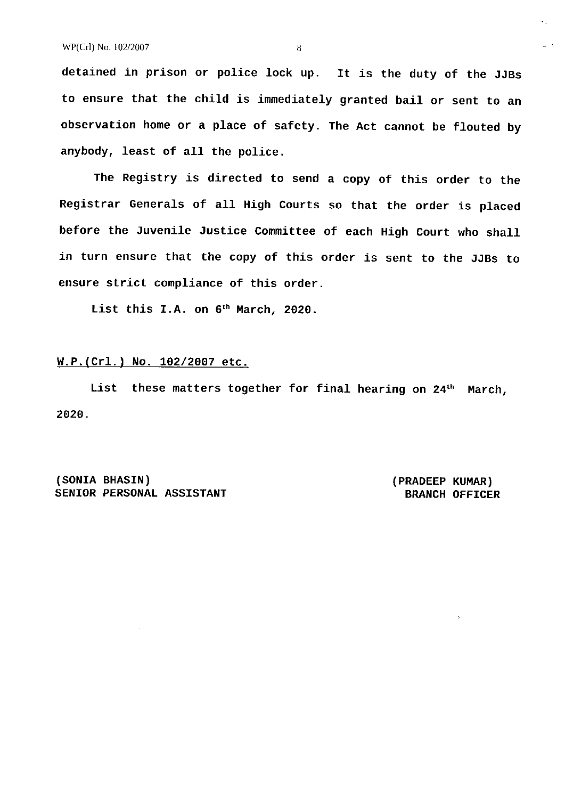detained in prison or police lock up. It is the duty of the JJBS to ensure that the child is immediately granted bail or sent to an observation home or a place of safety. The Act cannot be flouted by anybody, Ieast of all the police.

The Registry is directed to send a copy of this order to the Registrar GeneraLs of all High Courts so that the order is placed before the Juvenile Justice Committee of each High Court who shalL in turn ensure that the copy of this order is sent to the JJBS to ensure strict compliance of this order.

List this I.A. on 6<sup>th</sup> March, 2020.

## $W.P. (Cr1.)$  No. 102/2007 etc.

List these matters together for final hearing on 24<sup>th</sup> March, 2020.

(soNrA BHASTN) SENIOR PERSONAL ASSISTANT (PRADEEP KUMAR) BRANCH OFFICER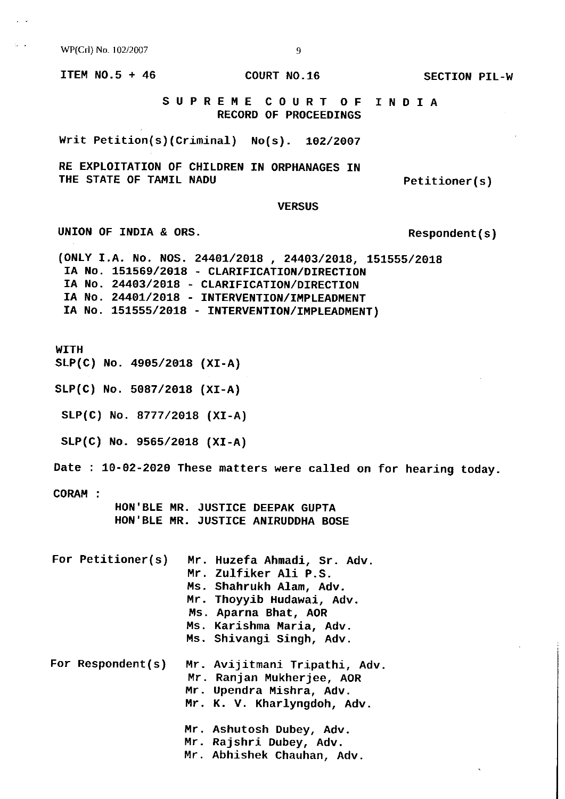WP(Crl) No, 102/2007

ITEM NO.5 + 46

COURT NO.16

SECTION PIL-W

SUPREHE COURT OF TNDIA RECORD OF PROCEEDINGS

**VERSUS** 

Writ Petition(s)(Criminal) No(s). 102/2007

RE EXPLOITATION OF CHILDREN IN ORPHANAGES IN THE STATE OF TAMIL NADU

Respondent ( s )

Petitioner ( s )

(ONLY I.A. No. NOS. 24401/2018 , 24403/2018, 151555/2018 IA No. 151569/2018 - CLARIFICATION/DIRECTION IA No. 24403/2018 - CLARIFICATION/DIRECTION IA No. 24401/2018 - INTERVENTION/IMPLEADMENT IN NO. 151555/2018 - INTERVENTION/IMPLEADMENT)

WITH

SLP<mark>(C) No. 4905/2018 (XI-A)</mark>

UNION OF INDIA & ORS.

SLP(C) No. 5087/2018 (XI-A)

 $SLP(C)$  No. 8777/2018 (XI-A)

SLP(C) No. 9565/2018 (XI-A)

Date: 7g-02-2920 These matters were called on for hearing today.

CORAH :

HON'BLE MR. JUSTICE DEEPAK GUPTA HON'BLE MR. JUSTICE ANIRUDDHA BOSE

|  | For Petitioner(s) | Mr. Huzefa Ahmadi, Sr. Adv.<br>Mr. Zulfiker Ali P.S.<br>Ms. Shahrukh Alam, Adv.<br>Mr. Thoyyib Hudawai, Adv.<br>Ms. Aparna Bhat, AOR<br>Ms. Karishma Maria, Adv.<br>Ms. Shivangi Singh, Adv. |
|--|-------------------|----------------------------------------------------------------------------------------------------------------------------------------------------------------------------------------------|
|  | For Respondent(s) | Mr. Avijitmani Tripathi, Adv.<br>Mr. Ranjan Mukherjee, AOR<br>Mr. Upendra Mishra, Adv.<br>Mr. K. V. Kharlyngdoh, Adv.                                                                        |
|  |                   | Mr. Ashutosh Dubey, Adv.<br>Mr. Rajshri Dubey, Adv.<br>Mr. Abhishek Chauhan, Adv.                                                                                                            |

9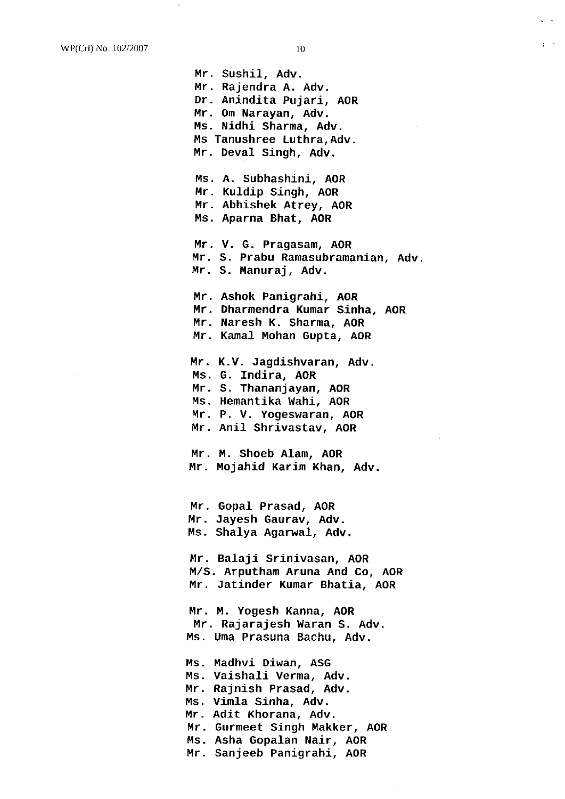Mr. Sushil, Adv. Mr. Rajendra A. Adv. Dr. Anindita Pujari, AOR Mr. 0m Narayan, Adv. Ms. Nidhi Sharma, Adv. Ms Tanushree Luthra, Adv, Mr. Deval Singh, Adv. MS. A. Subhashini, AOR Mr. Kuldip Singh, AoR Mr. Abhishek Atrey, AOR Ms. Aparna Bhat, AOR Mr. Ashok Panigrahi, AO<mark>R</mark> Mr. Dharmendra Kumar Sinha, AOR Mr. Naresh K. Sharma, AOR Mr. Kamal Mohan Gupta, AOR Mr. V. G. Pragasam, AOR Mr. <sup>S</sup> Prabu Ramasubramanian, Adv. Mr. S. Manuraj, Ad<mark>v</mark>. Mr. K.V. Jagdishvara<mark>n,</mark> Adv. Ms. G. Indira, AOR Mr. S. Thananjayan, AOR Ms. Hemantika Wahi, AOR Mr. P. V. Yogeswaran, AOR mr. Anil Shrivastav, AOR Mr. M. Shoeb Alam, AO<mark>R</mark> Mr. Mojahid Karim Khan, Adv. Mr. Gopal Prasa<mark>d, AO</mark>R Mr. Jayesh Gaurav, Adv. Ms. Shalya Agarwal, Adv. Mr. Balaji Srinivasan, AOR M,/S. Arputham Aruna And Co, AOR Mr. Jatinder Kumar Bhatia, AOR Mr. M. Yogesh Kanna, AOR Mr. Rajarajesh waran S. Adv. Ms. Uma Prasuna Bachu, Adv. Ms. Madhvi Diwan, AS<mark>G</mark> Ms. Vaishali Verma, Adv. Mr. Rajnish Prasad, Adv. Ms. Vimla Sinha, Adv. Mr. Adit Khorana, Adv. Mr. Gurmeet Singh Makker, AOR Ms. Asha Gopalan Nair, AOR Mr. Sanjeeb Panigrahi, AoR

 $\frac{1}{2}$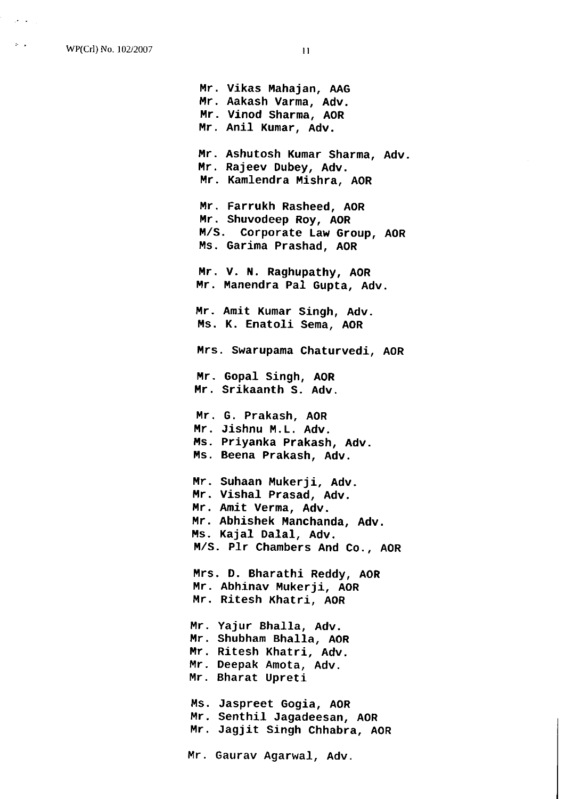W?(Crl) No. 102/2007

 $\mathbf{p}^{\prime}$  .

 $\overline{11}$ 

Mr. Vikas Mahajan, AA<mark>G</mark> Mr. Aakash Varma, Adv. Mr. Vinod Sharma, AOR<br>Mr. Anil Kumar, Adv. Mr. Ashutosh Kumar Sharma, Adv. Mr. Rajeev Dubey, Adv. Mr. Kamlendra Mishra, AOR Mr. Anil Kumar, Adv. Mr. Farrukh Rasheed, AOR Mr. Shuvodeep Roy, AOR M/S. Corporate Law Group, AOR Ms. Garima Prashad, AOR Mr. V. N. Raghupathy, AOR Mr. Manendra Pal Gupta, Adv. Mr. Amit Kumar Singh, Adv. Ms. K. Enatoli Sema, AOR Mr. Gopal Singh, AOR Mr. Srikaanth S. Adv. Mr. G. Prakash, AOR Mr. Jishnu M.L. Adv. Ms. Priyanka Prakash, Adv. Ms. Beena Prakash, Adv. Mrs. Swarupama Chaturvedi, AOR Mr. Suhaan Mukerji, Adv. Mr. VishaL Prasad, Adv. Mr. Amit Verma, Adv. Mr. Abhishek Manchanda, Adv. Ms. Kajal Dalal, Adv. M/S. Plr Chambers And Co., AOR Mrs. D. Bharathi Reddy, AOR Mr. Abhinav Mukerji, AOR<br>Mr. Ritesh Khatri, AOR Mr. Yajur Bhalla, Adv. nn. Chymrendaeth Adv.<br>Mr. Shubham Bhalla, AOR Mr. Ritesh Khatri, Adv. Mr. Deepak Amota, Adv. Mr. Bharat Upreti Ms. Jaspreet Gogia, AO<mark>R</mark> Mr. Senthil Jagadeesan, AOR<br>Mr. Jagjit Singh Chhabra, AOR Mr. Senthil Jagadeesan, AOR Mr. Gaurav Agarwal, Adv.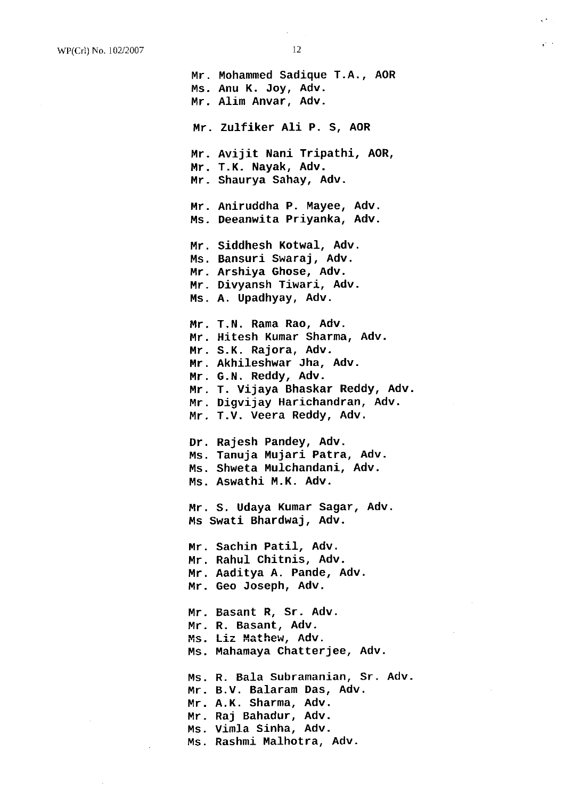$\frac{1}{2}$  .

Mr. Mohammed sadique T.A AOR Ms. Anu K. Joy, Adv. Mr. Alim Anvar, Adv. Mr. Avijit Nani Tripathi, AOR, Mr. T.K. Nayak, Adv. Mr. shaurya Sahay, Adv. Mr. Aniruddha P. Hayee, Adv. Ms. Deeanwita Priyanka, Adv. Mr. Zulfiker AIi P. S, AoR Mr. Siddhesh Kotwal, Adv. Ms. Bansuri Swaraj, Adv. Mr. Arshiya chose, Adv. ...<br>Mr. Divyansh Tiwari, Adv. Ms. A. Upadhyay, Adv. Mr. T. N. Rama Rao, Adv. Mr. Hitesh Kumar Sharma, Adv. Mr. S.K. Rajora, Adv. Hr. Akhileshwar Jha, Adv. Mr. G.N. Reddy, Adv. Mr. T. Vijaya Bhaskar Reddy, Adv. Mr. Digvijay Harichandran, Adv. Mr. T.V. Veera Reddy, Adv. Dr. Rajesh Pandey, Adv. Ms. Tanuja Mujari Patra, Adv. Ms. Shweta Mulchandani, Adv. Ms. Aswathi M.K. Adv. Mr. Sachin Patil, Adv. Mr. Rahul Chitnis, Adv. Mr. Aaditya A. Pande, Adv. Mr. ceo Joseph, Adv. Mr. Basant R, Sr. Adv. Mr. R. Basant, Adv. Ms. Mahamaya Chatterjee, Adv. Mr. S. Udaya Kumar Sagar, Adv. Ms Swati Bhardwaj, Adv. Ms. Liz Mathew, Adv. Ms. R. Bala Subramanian, Sr. Ad<mark>v</mark>. no: A. Daman Daman Das, Adv. Mr. A.K. Sharma, Adv. Mr. Raj Bahadur, Ad<mark>v</mark>. Ms. Vimla Sinha, Adv. Ms. Rashmi Malhotra, Adv.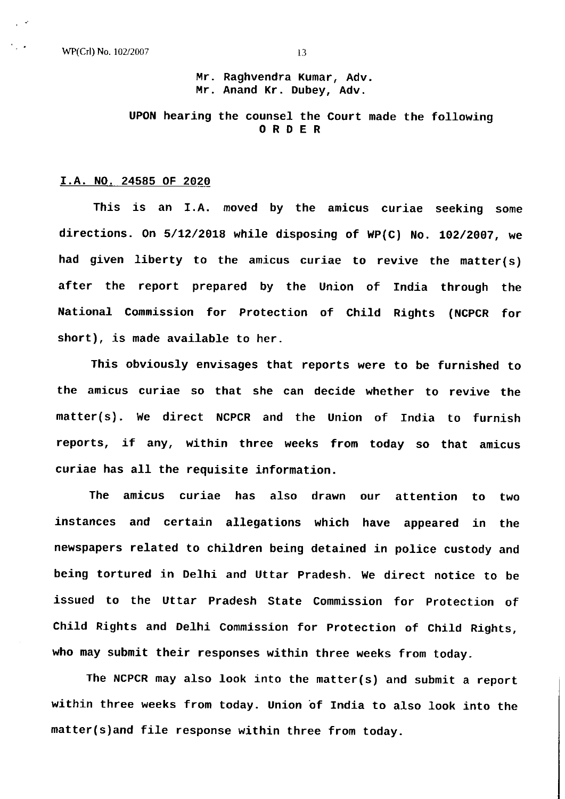WP(Crl) No. 102/2007 13

Mr. Raghvendra Kumar, Adv. Mr. Anand Kr. Dubey, Adv.

UPON hearing the counsel the Court made the following ORDER

#### I.A. NO. 24585 OF 2020

This is an I.A. moved by the amicus curiae seeking some directions. On  $5/12/2018$  while disposing of WP(C) No. 102/2007, we had given liberty to the amicus curiae to revive the matter(s) after the report prepared by the Union of India through the National Commission for Protection of Child Rights (NCPCR for short ), is made availabLe to her.

This obviously envisages that reports were to be furnished to the amicus curiae so that she can decide whether to revive the matter(s). We direct NCPCR and the Union of India to furnish reports, if any, within three weeks from today so that amicus curiae has all the requisite information.

The amicus curiae has also drawn instances and certain allegations which have appeared in the our attention to two newspapers related to children being detained in police custody and being tortured in Delhi and Uttar Pradesh. We direct notice to be issued to the Uttar Pradesh State Commission for protection of Child Rights and DeLhi Commission for protection of Child Rights, who may submit their responses within three weeks from today.

The NCPCR may also look into the matter(s) and submit a report within three weeks from today. Union of India to also look into the matter(s)and file response within three from today.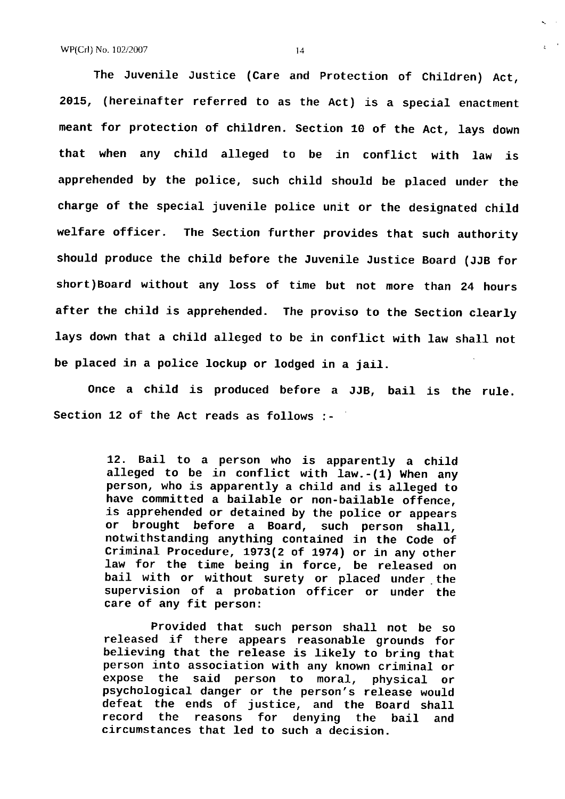The Juvenile Justice (Care and Protection of Children) Act, 2015, (hereinafter referred to as the Act) is a special enactment meant for protection of children. Section 10 of the Act, lays down that when any child alleged to be in conflict with law is apprehended by the police, such child should be placed under the charge of the special juvenile police unit or the designated child welfare officer. The Section further provides that such authority should produce the child before the Juvenile Justice Board (JJB for short ) Board without any loss of time but not more than 24 hours after the child is apprehended. The proviso to the Section clearly lays down that a child alleged to be in conflict with law shall not be placed in a police lockup or lodged in a jail.

Once a child is produced before a JJB, bail is the rule. Section 12 of the Act reads as follows :-

> 72. Bail to a person who is apparently a child alleged to be in conflict with Iaw.-(1) When any person, who is apparently a child and is alleged to is apprehended or detained by the police or appears or brought before a Board, such person shall,<br>notwithstanding anything contained in the Code of Criminal Procedure, 1973(2 of 1974) or in any other<br>law for the time being in force, be released on<br>bail with or without surety or placed under the supervision of a probation officer or under the care of any fit person:

> Provided that such person shall not be so reLeased if there appears reasonable grounds for believing that the release is like1y to bring that person into association with any known criminal or<br>expose the said person to moral, physical or expose the said person to moral, physical or psychological danger or the person's release would defeat the ends of justice, and the Board shal1 record the reasons for denying the bail and circumstances that led to such a decision.

 $\epsilon$  .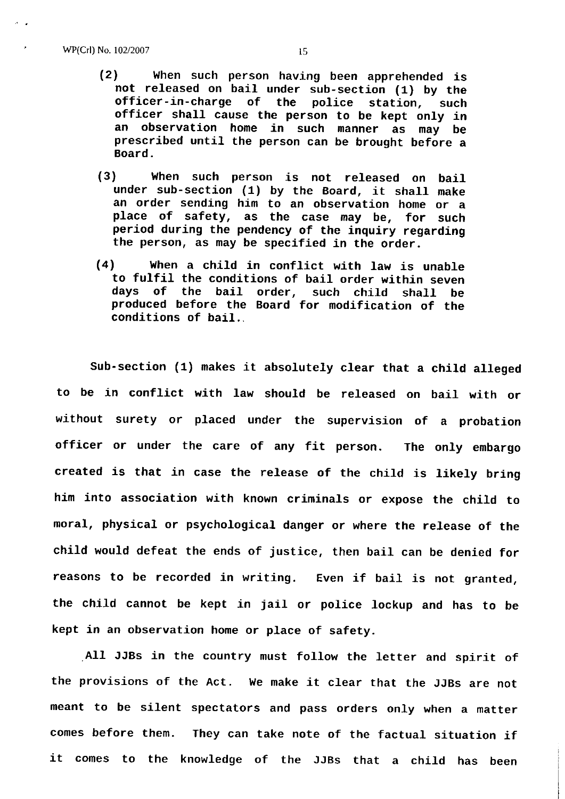- (2) When such person having been apprehended is<br>not released on bail under sub-section (1) by the<br>officer-in-charge of the police station, such<br>officer shall cause the person to be kept only in<br>an observation home in such prescribed until the person can be brought before a Board.
- (3) When such person is not released on bail under sub-section  $(1)$  by the Board, it shall make an order sending him to an observation home or <sup>a</sup> place of safety, as the case may be, for such period during the pendency of the inquiry regarding the person, as may be specified in the order.
- (4) When a child in conflict with law is unable to fulfil the conditions of bail order within seven days of the bail order, such child shall be produced before the Board for modification of the conditions of bail.

to be in conflict with law should be released on bail with or moral, physical or psychological danger or where the release of the child would defeat the ends of justice, then bail can be denied for Sub-section (1) makes it absolutely clear that <sup>a</sup> child alleged without surety or placed under the supervision of a probatior officer or under the care of any fit person. The only embargo created is that in case the release of the child is likely bring him into association with known criminals or expose the child to reasons to be recorded in writing. Even if baiL is not granted, the child cannot be kept in jail or police lockup and has to be kept in an observation home or place of safety.

All JJBs in the country must follow the letter and spirit of the provisions of the Act. We make it clear that the JJBS are not meant to be silent spectators and pass orders only when a matter comes before them. They can take note of the factual situation  $\dot{\mathbf{i}}$ it comes to the knowledge of the JJBs that a chiLd has been